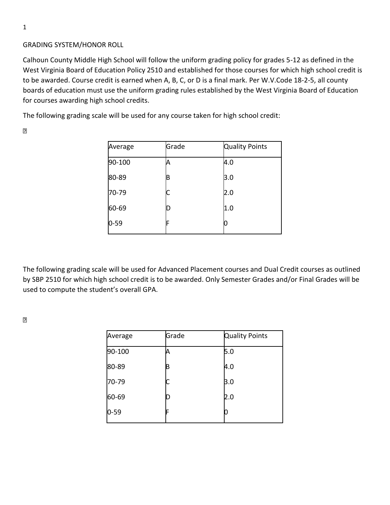## GRADING SYSTEM/HONOR ROLL

Calhoun County Middle High School will follow the uniform grading policy for grades 5-12 as defined in the West Virginia Board of Education Policy 2510 and established for those courses for which high school credit is to be awarded. Course credit is earned when A, B, C, or D is a final mark. Per W.V.Code 18-2-5, all county boards of education must use the uniform grading rules established by the West Virginia Board of Education for courses awarding high school credits.

The following grading scale will be used for any course taken for high school credit:

 $\boxed{2}$ 

| Average  | Grade | <b>Quality Points</b> |
|----------|-------|-----------------------|
| 90-100   |       | 4.0                   |
| 80-89    | В     | 3.0                   |
| 70-79    |       | 2.0                   |
| 60-69    | D     | 1.0                   |
| $0 - 59$ |       |                       |

The following grading scale will be used for Advanced Placement courses and Dual Credit courses as outlined by SBP 2510 for which high school credit is to be awarded. Only Semester Grades and/or Final Grades will be used to compute the student's overall GPA.

 $\boxed{2}$ 

| Average  | Grade | <b>Quality Points</b> |
|----------|-------|-----------------------|
| 90-100   |       | 5.0                   |
| 80-89    | B     | 4.0                   |
| 70-79    |       | 3.0                   |
| 60-69    | D     | 2.0                   |
| $0 - 59$ | F     |                       |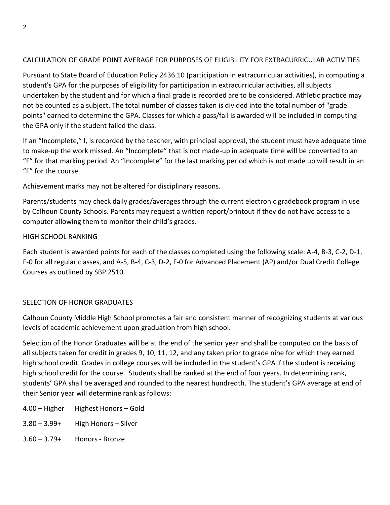# CALCULATION OF GRADE POINT AVERAGE FOR PURPOSES OF ELIGIBILITY FOR EXTRACURRICULAR ACTIVITIES

Pursuant to State Board of Education Policy 2436.10 (participation in extracurricular activities), in computing a student's GPA for the purposes of eligibility for participation in extracurricular activities, all subjects undertaken by the student and for which a final grade is recorded are to be considered. Athletic practice may not be counted as a subject. The total number of classes taken is divided into the total number of "grade points" earned to determine the GPA. Classes for which a pass/fail is awarded will be included in computing the GPA only if the student failed the class.

If an "Incomplete," I, is recorded by the teacher, with principal approval, the student must have adequate time to make-up the work missed. An "Incomplete" that is not made-up in adequate time will be converted to an "F" for that marking period. An "Incomplete" for the last marking period which is not made up will result in an "F" for the course.

Achievement marks may not be altered for disciplinary reasons.

Parents/students may check daily grades/averages through the current electronic gradebook program in use by Calhoun County Schools. Parents may request a written report/printout if they do not have access to a computer allowing them to monitor their child's grades.

# HIGH SCHOOL RANKING

Each student is awarded points for each of the classes completed using the following scale: A-4, B-3, C-2, D-1, F-0 for all regular classes, and A-5, B-4, C-3, D-2, F-0 for Advanced Placement (AP) and/or Dual Credit College Courses as outlined by SBP 2510.

## SELECTION OF HONOR GRADUATES

Calhoun County Middle High School promotes a fair and consistent manner of recognizing students at various levels of academic achievement upon graduation from high school.

Selection of the Honor Graduates will be at the end of the senior year and shall be computed on the basis of all subjects taken for credit in grades 9, 10, 11, 12, and any taken prior to grade nine for which they earned high school credit. Grades in college courses will be included in the student's GPA if the student is receiving high school credit for the course. Students shall be ranked at the end of four years. In determining rank, students' GPA shall be averaged and rounded to the nearest hundredth. The student's GPA average at end of their Senior year will determine rank as follows:

- 4.00 Higher Highest Honors Gold
- $3.80 3.99 +$  High Honors Silver
- 3.60 3.79**+** Honors Bronze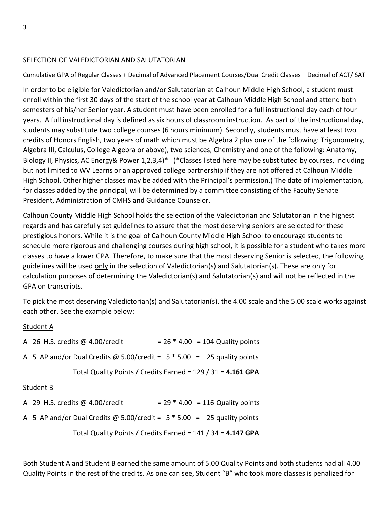### SELECTION OF VALEDICTORIAN AND SALUTATORIAN

### Cumulative GPA of Regular Classes + Decimal of Advanced Placement Courses/Dual Credit Classes + Decimal of ACT/ SAT

In order to be eligible for Valedictorian and/or Salutatorian at Calhoun Middle High School, a student must enroll within the first 30 days of the start of the school year at Calhoun Middle High School and attend both semesters of his/her Senior year. A student must have been enrolled for a full instructional day each of four years. A full instructional day is defined as six hours of classroom instruction. As part of the instructional day, students may substitute two college courses (6 hours minimum). Secondly, students must have at least two credits of Honors English, two years of math which must be Algebra 2 plus one of the following: Trigonometry, Algebra III, Calculus, College Algebra or above), two sciences, Chemistry and one of the following: Anatomy, Biology II, Physics, AC Energy& Power 1,2,3,4)\* (\*Classes listed here may be substituted by courses, including but not limited to WV Learns or an approved college partnership if they are not offered at Calhoun Middle High School. Other higher classes may be added with the Principal's permission.) The date of implementation, for classes added by the principal, will be determined by a committee consisting of the Faculty Senate President, Administration of CMHS and Guidance Counselor.

Calhoun County Middle High School holds the selection of the Valedictorian and Salutatorian in the highest regards and has carefully set guidelines to assure that the most deserving seniors are selected for these prestigious honors. While it is the goal of Calhoun County Middle High School to encourage students to schedule more rigorous and challenging courses during high school, it is possible for a student who takes more classes to have a lower GPA. Therefore, to make sure that the most deserving Senior is selected, the following guidelines will be used only in the selection of Valedictorian(s) and Salutatorian(s). These are only for calculation purposes of determining the Valedictorian(s) and Salutatorian(s) and will not be reflected in the GPA on transcripts.

To pick the most deserving Valedictorian(s) and Salutatorian(s), the 4.00 scale and the 5.00 scale works against each other. See the example below:

#### Student A

| A 26 H.S. credits $@$ 4.00/credit                                         |  |  | $= 26 * 4.00 = 104$ Quality points |
|---------------------------------------------------------------------------|--|--|------------------------------------|
| A 5 AP and/or Dual Credits @ 5.00/credit = $5 * 5.00 = 25$ quality points |  |  |                                    |
| Total Quality Points / Credits Earned = $129$ / 31 = $4.161$ GPA          |  |  |                                    |

#### Student B

| Total Quality Points / Credits Earned = $141$ / 34 = $4.147$ GPA          |  |                                    |  |
|---------------------------------------------------------------------------|--|------------------------------------|--|
| A 5 AP and/or Dual Credits @ 5.00/credit = $5 * 5.00 = 25$ quality points |  |                                    |  |
| A 29 H.S. credits $@$ 4.00/credit                                         |  | $= 29 * 4.00 = 116$ Quality points |  |

Both Student A and Student B earned the same amount of 5.00 Quality Points and both students had all 4.00 Quality Points in the rest of the credits. As one can see, Student "B" who took more classes is penalized for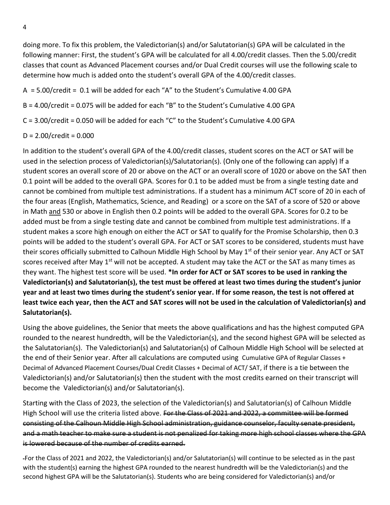doing more. To fix this problem, the Valedictorian(s) and/or Salutatorian(s) GPA will be calculated in the following manner: First, the student's GPA will be calculated for all 4.00/credit classes. Then the 5.00/credit classes that count as Advanced Placement courses and/or Dual Credit courses will use the following scale to determine how much is added onto the student's overall GPA of the 4.00/credit classes.

 $A = 5.00$ /credit = 0.1 will be added for each "A" to the Student's Cumulative 4.00 GPA

B = 4.00/credit = 0.075 will be added for each "B" to the Student's Cumulative 4.00 GPA

C = 3.00/credit = 0.050 will be added for each "C" to the Student's Cumulative 4.00 GPA

# $D = 2.00/c$ redit = 0.000

In addition to the student's overall GPA of the 4.00/credit classes, student scores on the ACT or SAT will be used in the selection process of Valedictorian(s)/Salutatorian(s). (Only one of the following can apply) If a student scores an overall score of 20 or above on the ACT or an overall score of 1020 or above on the SAT then 0.1 point will be added to the overall GPA. Scores for 0.1 to be added must be from a single testing date and cannot be combined from multiple test administrations. If a student has a minimum ACT score of 20 in each of the four areas (English, Mathematics, Science, and Reading) or a score on the SAT of a score of 520 or above in Math and 530 or above in English then 0.2 points will be added to the overall GPA. Scores for 0.2 to be added must be from a single testing date and cannot be combined from multiple test administrations. If a student makes a score high enough on either the ACT or SAT to qualify for the Promise Scholarship, then 0.3 points will be added to the student's overall GPA. For ACT or SAT scores to be considered, students must have their scores officially submitted to Calhoun Middle High School by May 1<sup>st</sup> of their senior year. Any ACT or SAT scores received after May 1<sup>st</sup> will not be accepted. A student may take the ACT or the SAT as many times as they want. The highest test score will be used. **\*In order for ACT or SAT scores to be used in ranking the Valedictorian(s) and Salutatorian(s), the test must be offered at least two times during the student's junior year and at least two times during the student's senior year. If for some reason, the test is not offered at least twice each year, then the ACT and SAT scores will not be used in the calculation of Valedictorian(s) and Salutatorian(s).**

Using the above guidelines, the Senior that meets the above qualifications and has the highest computed GPA rounded to the nearest hundredth, will be the Valedictorian(s), and the second highest GPA will be selected as the Salutatorian(s). The Valedictorian(s) and Salutatorian(s) of Calhoun Middle High School will be selected at the end of their Senior year. After all calculations are computed using Cumulative GPA of Regular Classes + Decimal of Advanced Placement Courses/Dual Credit Classes + Decimal of ACT/ SAT, if there is a tie between the Valedictorian(s) and/or Salutatorian(s) then the student with the most credits earned on their transcript will become the Valedictorian(s) and/or Salutatorian(s).

Starting with the Class of 2023, the selection of the Valedictorian(s) and Salutatorian(s) of Calhoun Middle High School will use the criteria listed above. For the Class of 2021 and 2022, a committee will be formed consisting of the Calhoun Middle High School administration, guidance counselor, faculty senate president, and a math teacher to make sure a student is not penalized for taking more high school classes where the GPA is lowered because of the number of credits earned.

For the Class of 2021 and 2022, the Valedictorian(s) and/or Salutatorian(s) will continue to be selected as in the past with the student(s) earning the highest GPA rounded to the nearest hundredth will be the Valedictorian(s) and the second highest GPA will be the Salutatorian(s). Students who are being considered for Valedictorian(s) and/or